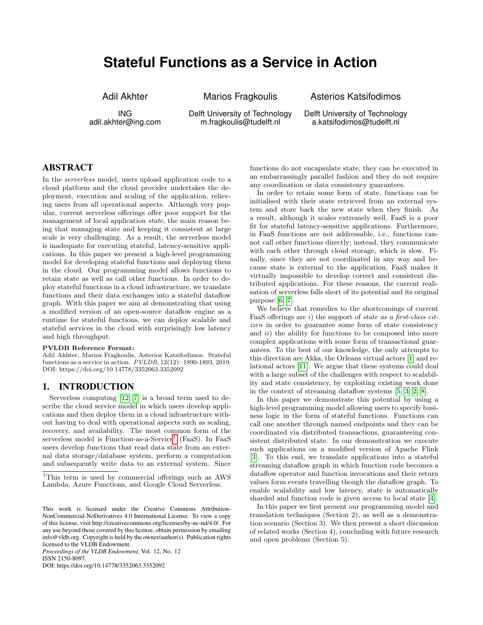# **Stateful Functions as a Service in Action**

Adil Akhter

Marios Fragkoulis

Asterios Katsifodimos Delft University of Technology

a.katsifodimos@tudelft.nl

ING adil.akhter@ing.com Delft University of Technology m.fragkoulis@tudelft.nl

ABSTRACT

In the serverless model, users upload application code to a cloud platform and the cloud provider undertakes the deployment, execution and scaling of the application, relieving users from all operational aspects. Although very popular, current serverless offerings offer poor support for the management of local application state, the main reason being that managing state and keeping it consistent at large scale is very challenging. As a result, the serverless model is inadequate for executing stateful, latency-sensitive applications. In this paper we present a high-level programming model for developing stateful functions and deploying them in the cloud. Our programming model allows functions to retain state as well as call other functions. In order to deploy stateful functions in a cloud infrastructure, we translate functions and their data exchanges into a stateful dataflow graph. With this paper we aim at demonstrating that using a modified version of an open-source dataflow engine as a runtime for stateful functions, we can deploy scalable and stateful services in the cloud with surprisingly low latency and high throughput.

#### PVLDB Reference Format:

Adil Akhter, Marios Fragkoulis, Asterios Katsifodimos. Stateful functions as a service in action. PVLDB, 12(12): 1890-1893, 2019. DOI: https://doi.org/10.14778/3352063.3352092

#### 1. INTRODUCTION

Serverless computing [\[12,](#page-3-0) [7\]](#page-3-1) is a broad term used to describe the cloud service model in which users develop applications and then deploy them in a cloud infrastructure without having to deal with operational aspects such as scaling, recovery, and availability. The most common form of the serverless model is Function-as-a-Service<sup>[1](#page-0-0)</sup> (FaaS). In FaaS users develop functions that read data state from an external data storage/database system, perform a computation and subsequently write data to an external system. Since

*Proceedings of the VLDB Endowment,* Vol. 12, No. 12 ISSN 2150-8097.

DOI: https://doi.org/10.14778/3352063.3352092

functions do not encapsulate state, they can be executed in an embarrassingly parallel fashion and they do not require any coordination or data consistency guarantees.

In order to retain some form of state, functions can be initialised with their state retrieved from an external system and store back the new state when they finish. As a result, although it scales extremely well, FaaS is a poor fit for stateful latency-sensitive applications. Furthermore, in FaaS functions are not addressable, i.e., functions cannot call other functions directly; instead, they communicate with each other through cloud storage, which is slow. Finally, since they are not coordinated in any way and because state is external to the application, FaaS makes it virtually impossible to develop correct and consistent distributed applications. For these reasons, the current realisation of serverless falls short of its potential and its original purpose [\[6,](#page-3-2) [7\]](#page-3-1).

We believe that remedies to the shortcomings of current FaaS offerings are i) the support of state as a first-class citizen in order to guarantee some form of state consistency and  $ii)$  the ability for functions to be composed into more complex applications with some form of transactional guarantees. To the best of our knowledge, the only attempts to this direction are Akka, the Orleans virtual actors [\[1\]](#page-3-3) and relational actors [\[11\]](#page-3-4). We argue that these systems could deal with a large subset of the challenges with respect to scalability and state consistency, by exploiting existing work done in the context of streaming dataflow systems [\[5,](#page-3-5) [3,](#page-3-6) [2,](#page-3-7) [8\]](#page-3-8).

In this paper we demonstrate this potential by using a high-level programming model allowing users to specify business logic in the form of stateful functions. Functions can call one another through named endpoints and they can be coordinated via distributed transactions, guaranteeing consistent distributed state. In our demonstration we execute such applications on a modified version of Apache Flink [\[3\]](#page-3-6). To this end, we translate applications into a stateful streaming dataflow graph in which function code becomes a dataflow operator and function invocations and their return values form events travelling though the dataflow graph. To enable scalability and low latency, state is automatically sharded and function code is given access to local state [\[4\]](#page-3-9).

In this paper we first present our programming model and translation techniques (Section 2), as well as a demonstration scenario (Section 3). We then present a short discussion of related works (Section 4), concluding with future research and open problems (Section 5).

<span id="page-0-0"></span><sup>1</sup>This term is used by commercial offerings such as AWS Lambda, Azure Functions, and Google Cloud Serverless.

This work is licensed under the Creative Commons Attribution-NonCommercial-NoDerivatives 4.0 International License. To view a copy of this license, visit http://creativecommons.org/licenses/by-nc-nd/4.0/. For any use beyond those covered by this license, obtain permission by emailing info@vldb.org. Copyright is held by the owner/author(s). Publication rights licensed to the VLDB Endowment.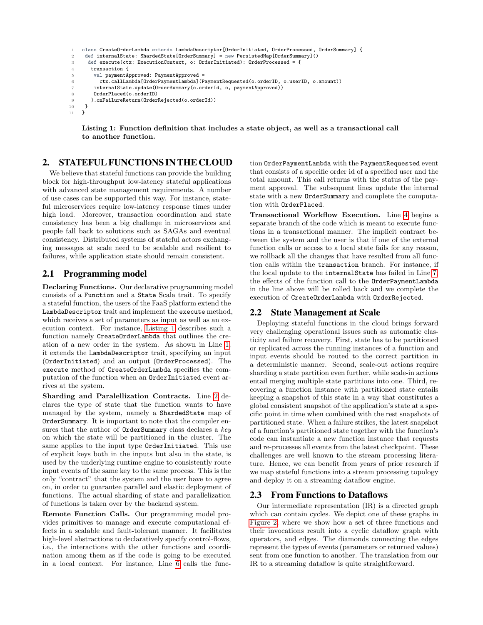```
class CreateOrderLambda extends LambdaDescriptor[OrderInitiated, OrderProcessed, OrderSummary] {
2 def internalState: ShardedState[OrderSummary] = new PersistedMap[OrderSummary]()
      3 def execute(ctx: ExecutionContext, o: OrderInitiated): OrderProcessed = {
4 transaction {
         val paymentApproved: PaymentApproved =
           6 ctx.callLambda[OrderPaymentLambda](PaymentRequested(o.orderID, o.userID, o.amount))
         internalState.update(OrderSummary(o.orderId, o, paymentApproved))
         8 OrderPlaced(o.orderID)
9 }.onFailureReturn(OrderRejected(o.orderId))<br>10 }
\begin{matrix} 10 \\ 11 \end{matrix}11 }
```
Listing 1: Function definition that includes a state object, as well as a transactional call to another function.

#### 2. STATEFUL FUNCTIONS IN THE CLOUD

We believe that stateful functions can provide the building block for high-throughput low-latency stateful applications with advanced state management requirements. A number of use cases can be supported this way. For instance, stateful microservices require low-latency response times under high load. Moreover, transaction coordination and state consistency has been a big challenge in microservices and people fall back to solutions such as SAGAs and eventual consistency. Distributed systems of stateful actors exchanging messages at scale need to be scalable and resilient to failures, while application state should remain consistent.

## 2.1 Programming model

Declaring Functions. Our declarative programming model consists of a Function and a State Scala trait. To specify a stateful function, the users of the FaaS platform extend the LambdaDescriptor trait and implement the execute method, which receives a set of parameters as input as well as an execution context. For instance, [Listing 1](#page-1-0) describes such a function namely CreateOrderLambda that outlines the creation of a new order in the system. As shown in Line [1,](#page-1-1) it extends the LambdaDescriptor trait, specifying an input (OrderInitiated) and an output (OrderProcessed). The execute method of CreateOrderLambda specifies the computation of the function when an OrderInitiated event arrives at the system.

Sharding and Paralellization Contracts. Line [2](#page-1-2) declares the type of state that the function wants to have managed by the system, namely a ShardedState map of OrderSummary. It is important to note that the compiler ensures that the author of  $O$ rderSummary class declares a  $key$ on which the state will be partitioned in the cluster. The same applies to the input type OrderInitiated. This use of explicit keys both in the inputs but also in the state, is used by the underlying runtime engine to consistently route input events of the same key to the same process. This is the only "contract" that the system and the user have to agree on, in order to guarantee parallel and elastic deployment of functions. The actual sharding of state and parallelization of functions is taken over by the backend system.

Remote Function Calls. Our programming model provides primitives to manage and execute computational effects in a scalable and fault-tolerant manner. It facilitates high-level abstractions to declaratively specify control-flows, i.e., the interactions with the other functions and coordination among them as if the code is going to be executed in a local context. For instance, Line [6](#page-1-3) calls the function OrderPaymentLambda with the PaymentRequested event that consists of a specific order id of a specified user and the total amount. This call returns with the status of the payment approval. The subsequent lines update the internal state with a new OrderSummary and complete the computation with OrderPlaced.

Transactional Workflow Execution. Line [4](#page-1-4) begins a separate branch of the code which is meant to execute functions in a transactional manner. The implicit contract between the system and the user is that if one of the external function calls or access to a local state fails for any reason, we rollback all the changes that have resulted from all function calls within the transaction branch. For instance, if the local update to the internalState has failed in Line [7,](#page-1-5) the effects of the function call to the OrderPaymentLambda in the line above will be rolled back and we complete the execution of CreateOrderLambda with OrderRejected.

#### 2.2 State Management at Scale

Deploying stateful functions in the cloud brings forward very challenging operational issues such as automatic elasticity and failure recovery. First, state has to be partitioned or replicated across the running instances of a function and input events should be routed to the correct partition in a deterministic manner. Second, scale-out actions require sharding a state partition even further, while scale-in actions entail merging multiple state partitions into one. Third, recovering a function instance with partitioned state entails keeping a snapshot of this state in a way that constitutes a global consistent snapshot of the application's state at a specific point in time when combined with the rest snapshots of partitioned state. When a failure strikes, the latest snapshot of a function's partitioned state together with the function's code can instantiate a new function instance that requests and re-processes all events from the latest checkpoint. These challenges are well known to the stream processing literature. Hence, we can benefit from years of prior research if we map stateful functions into a stream processing topology and deploy it on a streaming dataflow engine.

#### 2.3 From Functions to Dataflows

Our intermediate representation (IR) is a directed graph which can contain cycles. We depict one of these graphs in [Figure 2,](#page-3-10) where we show how a set of three functions and their invocations result into a cyclic dataflow graph with operators, and edges. The diamonds connecting the edges represent the types of events (parameters or returned values) sent from one function to another. The translation from our IR to a streaming dataflow is quite straightforward.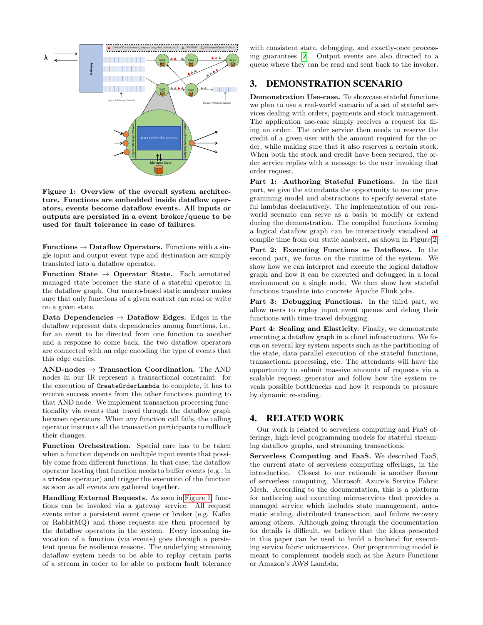

<span id="page-2-0"></span>Figure 1: Overview of the overall system architecture. Functions are embedded inside dataflow operators, events become dataflow events. All inputs or outputs are persisted in a event broker/queue to be used for fault tolerance in case of failures.

Functions  $\rightarrow$  Dataflow Operators. Functions with a single input and output event type and destination are simply translated into a dataflow operator.

Function State  $\rightarrow$  Operator State. Each annotated managed state becomes the state of a stateful operator in the dataflow graph. Our macro-based static analyzer makes sure that only functions of a given context can read or write on a given state.

Data Dependencies  $\rightarrow$  Dataflow Edges. Edges in the dataflow represent data dependencies among functions, i.e., for an event to be directed from one function to another and a response to come back, the two dataflow operators are connected with an edge encoding the type of events that this edge carries.

 $AND-nodes \rightarrow Transaction Coordination$ . The AND nodes in our IR represent a transactional constraint: for the execution of CreateOrderLambda to complete, it has to receive success events from the other functions pointing to that AND node. We implement transaction processing functionality via events that travel through the dataflow graph between operators. When any function call fails, the calling operator instructs all the transaction participants to rollback their changes.

Function Orchestration. Special care has to be taken when a function depends on multiple input events that possibly come from different functions. In that case, the dataflow operator hosting that function needs to buffer events (e.g., in a window operator) and trigger the execution of the function as soon as all events are gathered together.

Handling External Requests. As seen in [Figure 1,](#page-2-0) functions can be invoked via a gateway service. All request events enter a persistent event queue or broker (e.g. Kafka or RabbitMQ) and those requests are then processed by the dataflow operators in the system. Every incoming invocation of a function (via events) goes through a persistent queue for resilience reasons. The underlying streaming dataflow system needs to be able to replay certain parts of a stream in order to be able to perform fault tolerance

with consistent state, debugging, and exactly-once processing guarantees [\[2\]](#page-3-7). Output events are also directed to a queue where they can be read and sent back to the invoker.

#### 3. DEMONSTRATION SCENARIO

Demonstration Use-case. To showcase stateful functions we plan to use a real-world scenario of a set of stateful services dealing with orders, payments and stock management. The application use-case simply receives a request for filing an order. The order service then needs to reserve the credit of a given user with the amount required for the order, while making sure that it also reserves a certain stock. When both the stock and credit have been secured, the order service replies with a message to the user invoking that order request.

Part 1: Authoring Stateful Functions. In the first part, we give the attendants the opportunity to use our programming model and abstractions to specify several stateful lambdas declaratively. The implementation of our realworld scenario can serve as a basis to modify or extend during the demonstration. The compiled functions forming a logical dataflow graph can be interactively visualised at compile time from our static analyzer, as shown in Figure [2.](#page-3-10)

Part 2: Executing Functions as Dataflows. In the second part, we focus on the runtime of the system. We show how we can interpret and execute the logical dataflow graph and how it can be executed and debugged in a local environment on a single node. We then show how stateful functions translate into concrete Apache Flink jobs.

Part 3: Debugging Functions. In the third part, we allow users to replay input event queues and debug their functions with time-travel debugging.

Part 4: Scaling and Elasticity. Finally, we demonstrate executing a dataflow graph in a cloud infrastructure. We focus on several key system aspects such as the partitioning of the state, data-parallel execution of the stateful functions, transactional processing, etc. The attendants will have the opportunity to submit massive amounts of requests via a scalable request generator and follow how the system reveals possible bottlenecks and how it responds to pressure by dynamic re-scaling.

#### 4. RELATED WORK

Our work is related to serverless computing and FaaS offerings, high-level programming models for stateful streaming dataflow graphs, and streaming transactions.

Serverless Computing and FaaS. We described FaaS, the current state of serverless computing offerings, in the introduction. Closest to our rationale is another flavour of serverless computing, Microsoft Azure's Service Fabric Mesh. According to the documentation, this is a platform for authoring and executing microservices that provides a managed service which includes state management, automatic scaling, distributed transaction, and failure recovery among others. Although going through the documentation for details is difficult, we believe that the ideas presented in this paper can be used to build a backend for executing service fabric microservices. Our programming model is meant to complement models such as the Azure Functions or Amazon's AWS Lambda.